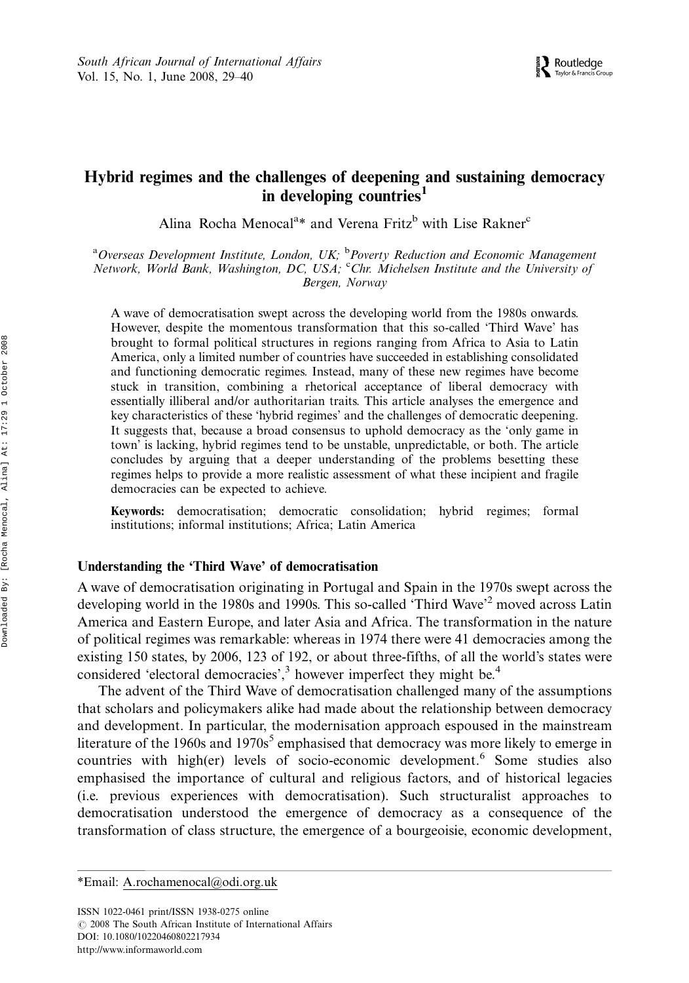# Hybrid regimes and the challenges of deepening and sustaining democracy in developing countries<sup>1</sup>

Alina Rocha Menocal<sup>a\*</sup> and Verena Fritz<sup>b</sup> with Lise Rakner<sup>c</sup>

 $^{\rm a}$ Overseas Development Institute, London, UK;  $^{\rm b}$ Poverty Reduction and Economic Management Network, World Bank, Washington, DC, USA; Chr. Michelsen Institute and the University of Bergen, Norway

A wave of democratisation swept across the developing world from the 1980s onwards. However, despite the momentous transformation that this so-called 'Third Wave' has brought to formal political structures in regions ranging from Africa to Asia to Latin America, only a limited number of countries have succeeded in establishing consolidated and functioning democratic regimes. Instead, many of these new regimes have become stuck in transition, combining a rhetorical acceptance of liberal democracy with essentially illiberal and/or authoritarian traits. This article analyses the emergence and key characteristics of these 'hybrid regimes' and the challenges of democratic deepening. It suggests that, because a broad consensus to uphold democracy as the 'only game in town' is lacking, hybrid regimes tend to be unstable, unpredictable, or both. The article concludes by arguing that a deeper understanding of the problems besetting these regimes helps to provide a more realistic assessment of what these incipient and fragile democracies can be expected to achieve.

Keywords: democratisation; democratic consolidation; hybrid regimes; formal institutions; informal institutions; Africa; Latin America

# Understanding the 'Third Wave' of democratisation

A wave of democratisation originating in Portugal and Spain in the 1970s swept across the developing world in the 1980s and 1990s. This so-called 'Third Wave'2 moved across Latin America and Eastern Europe, and later Asia and Africa. The transformation in the nature of political regimes was remarkable: whereas in 1974 there were 41 democracies among the existing 150 states, by 2006, 123 of 192, or about three-fifths, of all the world's states were considered 'electoral democracies',<sup>3</sup> however imperfect they might be.<sup>4</sup>

The advent of the Third Wave of democratisation challenged many of the assumptions that scholars and policymakers alike had made about the relationship between democracy and development. In particular, the modernisation approach espoused in the mainstream literature of the 1960s and  $1970s<sup>5</sup>$  emphasised that democracy was more likely to emerge in countries with high(er) levels of socio-economic development.<sup>6</sup> Some studies also emphasised the importance of cultural and religious factors, and of historical legacies (i.e. previous experiences with democratisation). Such structuralist approaches to democratisation understood the emergence of democracy as a consequence of the transformation of class structure, the emergence of a bourgeoisie, economic development,

<sup>\*</sup>Email: A.rochamenocal@odi.org.uk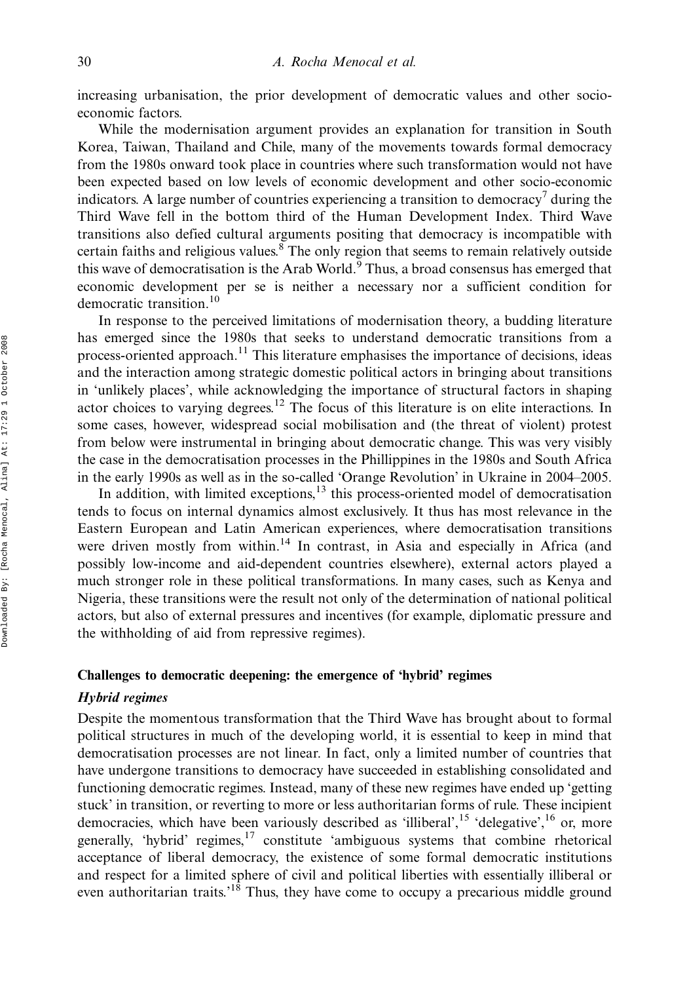increasing urbanisation, the prior development of democratic values and other socioeconomic factors.

While the modernisation argument provides an explanation for transition in South Korea, Taiwan, Thailand and Chile, many of the movements towards formal democracy from the 1980s onward took place in countries where such transformation would not have been expected based on low levels of economic development and other socio-economic indicators. A large number of countries experiencing a transition to democracy<sup>7</sup> during the Third Wave fell in the bottom third of the Human Development Index. Third Wave transitions also defied cultural arguments positing that democracy is incompatible with certain faiths and religious values.<sup>8</sup> The only region that seems to remain relatively outside this wave of democratisation is the Arab World. $9$  Thus, a broad consensus has emerged that economic development per se is neither a necessary nor a sufficient condition for democratic transition.<sup>10</sup>

In response to the perceived limitations of modernisation theory, a budding literature has emerged since the 1980s that seeks to understand democratic transitions from a process-oriented approach.<sup>11</sup> This literature emphasises the importance of decisions, ideas and the interaction among strategic domestic political actors in bringing about transitions in 'unlikely places', while acknowledging the importance of structural factors in shaping actor choices to varying degrees.<sup>12</sup> The focus of this literature is on elite interactions. In some cases, however, widespread social mobilisation and (the threat of violent) protest from below were instrumental in bringing about democratic change. This was very visibly the case in the democratisation processes in the Phillippines in the 1980s and South Africa in the early 1990s as well as in the so-called 'Orange Revolution' in Ukraine in 2004–2005.

In addition, with limited exceptions, $13$  this process-oriented model of democratisation tends to focus on internal dynamics almost exclusively. It thus has most relevance in the Eastern European and Latin American experiences, where democratisation transitions were driven mostly from within.<sup>14</sup> In contrast, in Asia and especially in Africa (and possibly low-income and aid-dependent countries elsewhere), external actors played a much stronger role in these political transformations. In many cases, such as Kenya and Nigeria, these transitions were the result not only of the determination of national political actors, but also of external pressures and incentives (for example, diplomatic pressure and the withholding of aid from repressive regimes).

#### Challenges to democratic deepening: the emergence of 'hybrid' regimes

## Hybrid regimes

Despite the momentous transformation that the Third Wave has brought about to formal political structures in much of the developing world, it is essential to keep in mind that democratisation processes are not linear. In fact, only a limited number of countries that have undergone transitions to democracy have succeeded in establishing consolidated and functioning democratic regimes. Instead, many of these new regimes have ended up 'getting stuck' in transition, or reverting to more or less authoritarian forms of rule. These incipient democracies, which have been variously described as 'illiberal',<sup>15</sup> 'delegative',<sup>16</sup> or, more generally, 'hybrid' regimes,<sup>17</sup> constitute 'ambiguous systems that combine rhetorical acceptance of liberal democracy, the existence of some formal democratic institutions and respect for a limited sphere of civil and political liberties with essentially illiberal or even authoritarian traits.<sup> $18$ </sup> Thus, they have come to occupy a precarious middle ground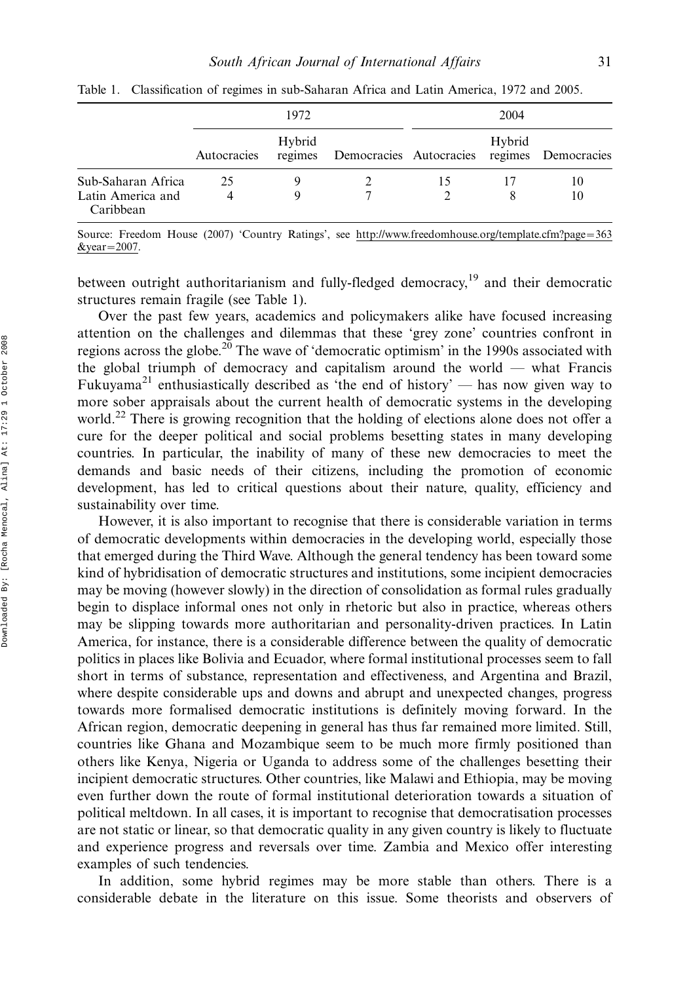|                                                      | 1972        |                   |                                             | 2004 |        |          |
|------------------------------------------------------|-------------|-------------------|---------------------------------------------|------|--------|----------|
|                                                      | Autocracies | Hybrid<br>regimes | Democracies Autocracies regimes Democracies |      | Hybrid |          |
| Sub-Saharan Africa<br>Latin America and<br>Caribbean | 25          |                   |                                             |      |        | 10<br>10 |

Table 1. Classification of regimes in sub-Saharan Africa and Latin America, 1972 and 2005.

Source: Freedom House (2007) 'Country Ratings', see http://www.freedomhouse.org/template.cfm?page=363  $&year=2007$ 

between outright authoritarianism and fully-fledged democracy,<sup>19</sup> and their democratic structures remain fragile (see Table 1).

Over the past few years, academics and policymakers alike have focused increasing attention on the challenges and dilemmas that these 'grey zone' countries confront in regions across the globe.<sup>20</sup> The wave of 'democratic optimism' in the 1990s associated with the global triumph of democracy and capitalism around the world  $-$  what Francis Fukuyama<sup>21</sup> enthusiastically described as 'the end of history'  $-$  has now given way to more sober appraisals about the current health of democratic systems in the developing world.<sup>22</sup> There is growing recognition that the holding of elections alone does not offer a cure for the deeper political and social problems besetting states in many developing countries. In particular, the inability of many of these new democracies to meet the demands and basic needs of their citizens, including the promotion of economic development, has led to critical questions about their nature, quality, efficiency and sustainability over time.

However, it is also important to recognise that there is considerable variation in terms of democratic developments within democracies in the developing world, especially those that emerged during the Third Wave. Although the general tendency has been toward some kind of hybridisation of democratic structures and institutions, some incipient democracies may be moving (however slowly) in the direction of consolidation as formal rules gradually begin to displace informal ones not only in rhetoric but also in practice, whereas others may be slipping towards more authoritarian and personality-driven practices. In Latin America, for instance, there is a considerable difference between the quality of democratic politics in places like Bolivia and Ecuador, where formal institutional processes seem to fall short in terms of substance, representation and effectiveness, and Argentina and Brazil, where despite considerable ups and downs and abrupt and unexpected changes, progress towards more formalised democratic institutions is definitely moving forward. In the African region, democratic deepening in general has thus far remained more limited. Still, countries like Ghana and Mozambique seem to be much more firmly positioned than others like Kenya, Nigeria or Uganda to address some of the challenges besetting their incipient democratic structures. Other countries, like Malawi and Ethiopia, may be moving even further down the route of formal institutional deterioration towards a situation of political meltdown. In all cases, it is important to recognise that democratisation processes are not static or linear, so that democratic quality in any given country is likely to fluctuate and experience progress and reversals over time. Zambia and Mexico offer interesting examples of such tendencies.

In addition, some hybrid regimes may be more stable than others. There is a considerable debate in the literature on this issue. Some theorists and observers of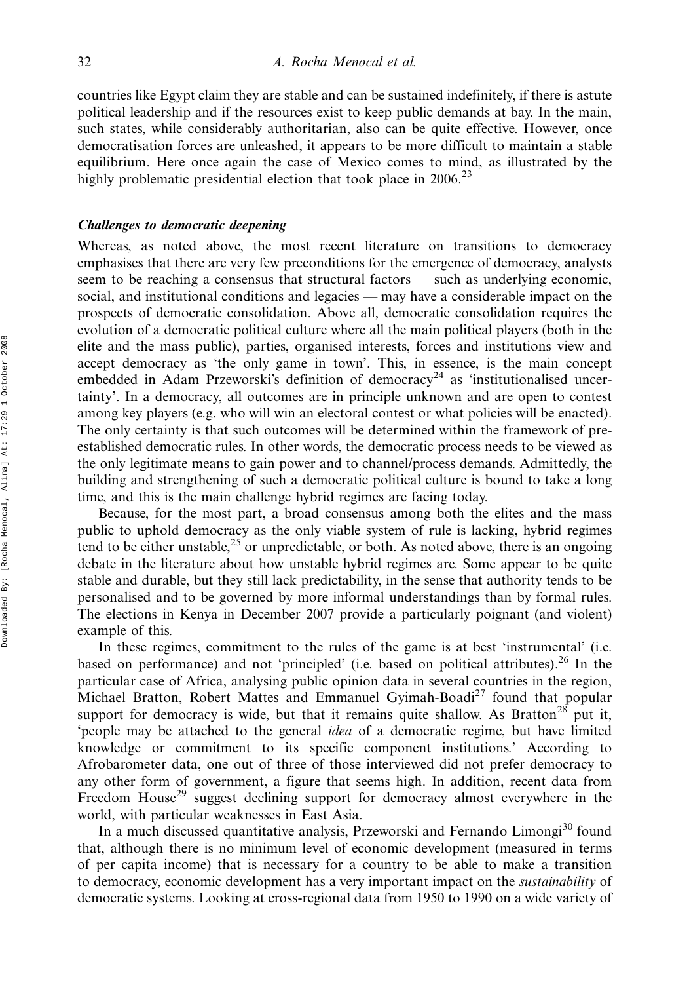countries like Egypt claim they are stable and can be sustained indefinitely, if there is astute political leadership and if the resources exist to keep public demands at bay. In the main, such states, while considerably authoritarian, also can be quite effective. However, once democratisation forces are unleashed, it appears to be more difficult to maintain a stable equilibrium. Here once again the case of Mexico comes to mind, as illustrated by the highly problematic presidential election that took place in 2006.<sup>23</sup>

#### Challenges to democratic deepening

Whereas, as noted above, the most recent literature on transitions to democracy emphasises that there are very few preconditions for the emergence of democracy, analysts seem to be reaching a consensus that structural factors  $-$  such as underlying economic, social, and institutional conditions and legacies — may have a considerable impact on the prospects of democratic consolidation. Above all, democratic consolidation requires the evolution of a democratic political culture where all the main political players (both in the elite and the mass public), parties, organised interests, forces and institutions view and accept democracy as 'the only game in town'. This, in essence, is the main concept embedded in Adam Przeworski's definition of democracy<sup>24</sup> as 'institutionalised uncertainty'. In a democracy, all outcomes are in principle unknown and are open to contest among key players (e.g. who will win an electoral contest or what policies will be enacted). The only certainty is that such outcomes will be determined within the framework of preestablished democratic rules. In other words, the democratic process needs to be viewed as the only legitimate means to gain power and to channel/process demands. Admittedly, the building and strengthening of such a democratic political culture is bound to take a long time, and this is the main challenge hybrid regimes are facing today.

Because, for the most part, a broad consensus among both the elites and the mass public to uphold democracy as the only viable system of rule is lacking, hybrid regimes tend to be either unstable,<sup>25</sup> or unpredictable, or both. As noted above, there is an ongoing debate in the literature about how unstable hybrid regimes are. Some appear to be quite stable and durable, but they still lack predictability, in the sense that authority tends to be personalised and to be governed by more informal understandings than by formal rules. The elections in Kenya in December 2007 provide a particularly poignant (and violent) example of this.

In these regimes, commitment to the rules of the game is at best 'instrumental' (i.e. based on performance) and not 'principled' (i.e. based on political attributes).<sup>26</sup> In the particular case of Africa, analysing public opinion data in several countries in the region, Michael Bratton, Robert Mattes and Emmanuel Gyimah-Boadi<sup>27</sup> found that popular support for democracy is wide, but that it remains quite shallow. As Bratton<sup>28</sup> put it, 'people may be attached to the general idea of a democratic regime, but have limited knowledge or commitment to its specific component institutions.' According to Afrobarometer data, one out of three of those interviewed did not prefer democracy to any other form of government, a figure that seems high. In addition, recent data from Freedom House<sup>29</sup> suggest declining support for democracy almost everywhere in the world, with particular weaknesses in East Asia.

In a much discussed quantitative analysis, Przeworski and Fernando Limongi<sup>30</sup> found that, although there is no minimum level of economic development (measured in terms of per capita income) that is necessary for a country to be able to make a transition to democracy, economic development has a very important impact on the *sustainability* of democratic systems. Looking at cross-regional data from 1950 to 1990 on a wide variety of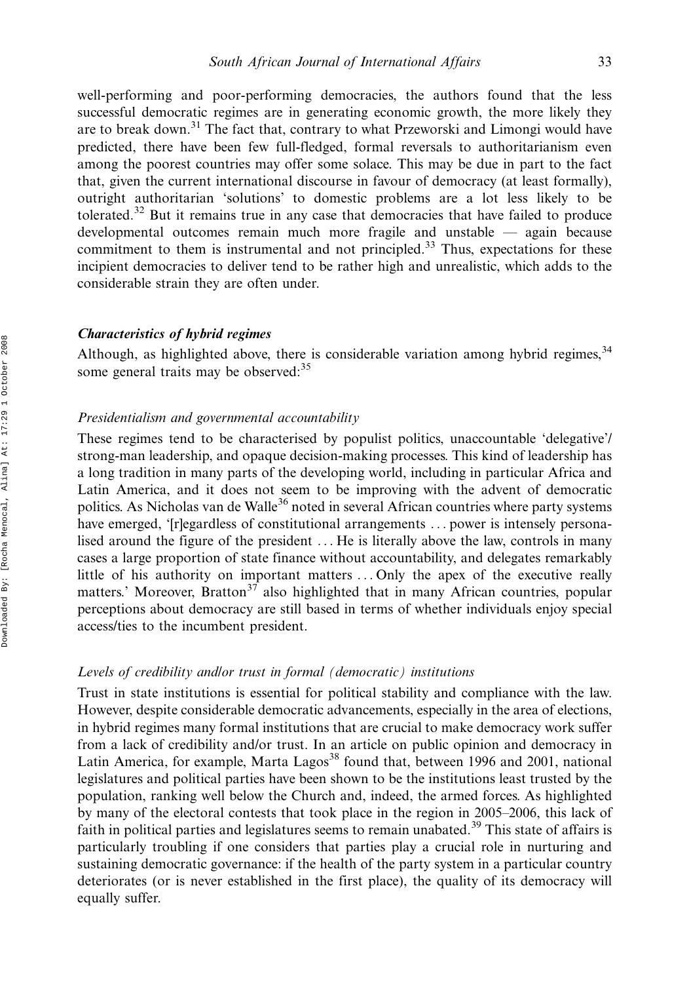well-performing and poor-performing democracies, the authors found that the less successful democratic regimes are in generating economic growth, the more likely they are to break down.<sup>31</sup> The fact that, contrary to what Przeworski and Limongi would have predicted, there have been few full-fledged, formal reversals to authoritarianism even among the poorest countries may offer some solace. This may be due in part to the fact that, given the current international discourse in favour of democracy (at least formally), outright authoritarian 'solutions' to domestic problems are a lot less likely to be tolerated.<sup>32</sup> But it remains true in any case that democracies that have failed to produce developmental outcomes remain much more fragile and unstable  $-$  again because commitment to them is instrumental and not principled.<sup>33</sup> Thus, expectations for these incipient democracies to deliver tend to be rather high and unrealistic, which adds to the considerable strain they are often under.

## Characteristics of hybrid regimes

Although, as highlighted above, there is considerable variation among hybrid regimes,<sup>34</sup> some general traits may be observed:<sup>35</sup>

## Presidentialism and governmental accountability

These regimes tend to be characterised by populist politics, unaccountable 'delegative'/ strong-man leadership, and opaque decision-making processes. This kind of leadership has a long tradition in many parts of the developing world, including in particular Africa and Latin America, and it does not seem to be improving with the advent of democratic politics. As Nicholas van de Walle<sup>36</sup> noted in several African countries where party systems have emerged, '[r]egardless of constitutional arrangements ... power is intensely personalised around the figure of the president ... He is literally above the law, controls in many cases a large proportion of state finance without accountability, and delegates remarkably little of his authority on important matters ... Only the apex of the executive really matters.' Moreover, Bratton $37$  also highlighted that in many African countries, popular perceptions about democracy are still based in terms of whether individuals enjoy special access/ties to the incumbent president.

## Levels of credibility and/or trust in formal (democratic) institutions

Trust in state institutions is essential for political stability and compliance with the law. However, despite considerable democratic advancements, especially in the area of elections, in hybrid regimes many formal institutions that are crucial to make democracy work suffer from a lack of credibility and/or trust. In an article on public opinion and democracy in Latin America, for example, Marta Lagos<sup>38</sup> found that, between 1996 and 2001, national legislatures and political parties have been shown to be the institutions least trusted by the population, ranking well below the Church and, indeed, the armed forces. As highlighted by many of the electoral contests that took place in the region in  $2005-2006$ , this lack of faith in political parties and legislatures seems to remain unabated.<sup>39</sup> This state of affairs is particularly troubling if one considers that parties play a crucial role in nurturing and sustaining democratic governance: if the health of the party system in a particular country deteriorates (or is never established in the first place), the quality of its democracy will equally suffer.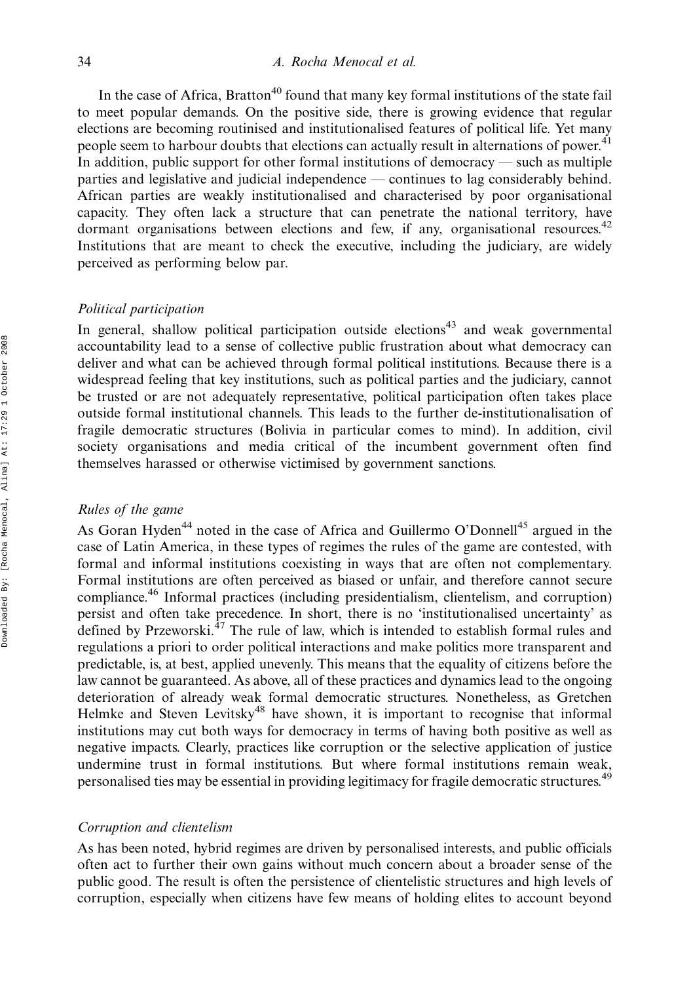In the case of Africa, Bratton<sup>40</sup> found that many key formal institutions of the state fail to meet popular demands. On the positive side, there is growing evidence that regular elections are becoming routinised and institutionalised features of political life. Yet many people seem to harbour doubts that elections can actually result in alternations of power.<sup>41</sup> In addition, public support for other formal institutions of democracy  $-$  such as multiple parties and legislative and judicial independence  $-$  continues to lag considerably behind. African parties are weakly institutionalised and characterised by poor organisational capacity. They often lack a structure that can penetrate the national territory, have dormant organisations between elections and few, if any, organisational resources.<sup>42</sup> Institutions that are meant to check the executive, including the judiciary, are widely perceived as performing below par.

## Political participation

In general, shallow political participation outside elections<sup>43</sup> and weak governmental accountability lead to a sense of collective public frustration about what democracy can deliver and what can be achieved through formal political institutions. Because there is a widespread feeling that key institutions, such as political parties and the judiciary, cannot be trusted or are not adequately representative, political participation often takes place outside formal institutional channels. This leads to the further de-institutionalisation of fragile democratic structures (Bolivia in particular comes to mind). In addition, civil society organisations and media critical of the incumbent government often find themselves harassed or otherwise victimised by government sanctions.

## Rules of the game

As Goran Hyden<sup>44</sup> noted in the case of Africa and Guillermo O'Donnell<sup>45</sup> argued in the case of Latin America, in these types of regimes the rules of the game are contested, with formal and informal institutions coexisting in ways that are often not complementary. Formal institutions are often perceived as biased or unfair, and therefore cannot secure compliance.<sup>46</sup> Informal practices (including presidentialism, clientelism, and corruption) persist and often take precedence. In short, there is no 'institutionalised uncertainty' as defined by Przeworski. $47$  The rule of law, which is intended to establish formal rules and regulations a priori to order political interactions and make politics more transparent and predictable, is, at best, applied unevenly. This means that the equality of citizens before the law cannot be guaranteed. As above, all of these practices and dynamics lead to the ongoing deterioration of already weak formal democratic structures. Nonetheless, as Gretchen Helmke and Steven Levitsky<sup>48</sup> have shown, it is important to recognise that informal institutions may cut both ways for democracy in terms of having both positive as well as negative impacts. Clearly, practices like corruption or the selective application of justice undermine trust in formal institutions. But where formal institutions remain weak, personalised ties may be essential in providing legitimacy for fragile democratic structures.<sup>49</sup>

## Corruption and clientelism

As has been noted, hybrid regimes are driven by personalised interests, and public officials often act to further their own gains without much concern about a broader sense of the public good. The result is often the persistence of clientelistic structures and high levels of corruption, especially when citizens have few means of holding elites to account beyond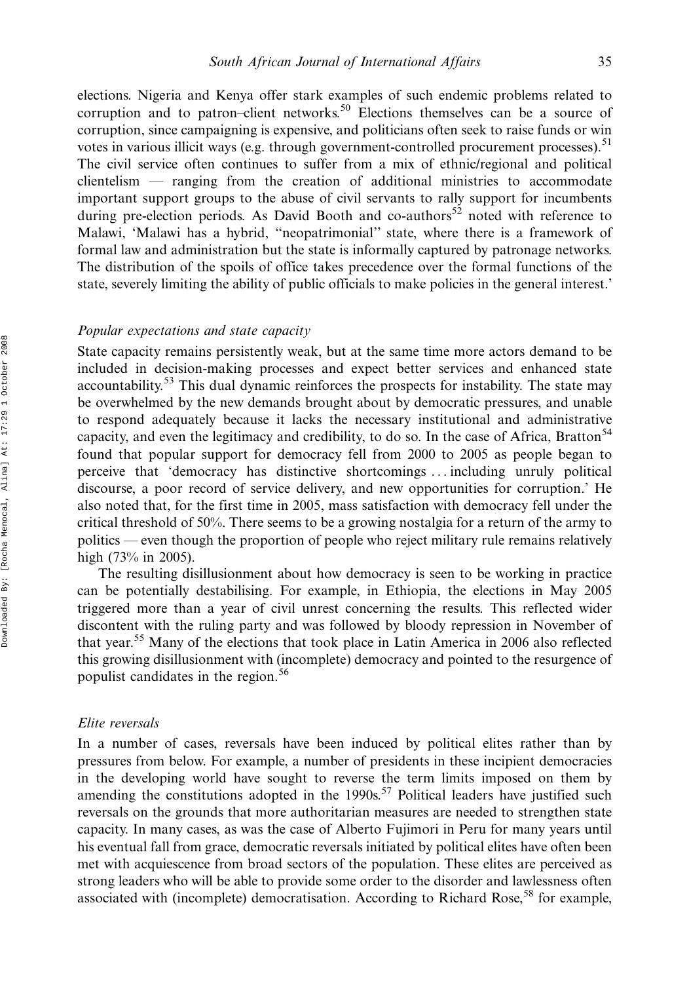elections. Nigeria and Kenya offer stark examples of such endemic problems related to corruption and to patron-client networks.<sup>50</sup> Elections themselves can be a source of corruption, since campaigning is expensive, and politicians often seek to raise funds or win votes in various illicit ways (e.g. through government-controlled procurement processes).<sup>51</sup> The civil service often continues to suffer from a mix of ethnic/regional and political  $c$ lientelism  $-$  ranging from the creation of additional ministries to accommodate important support groups to the abuse of civil servants to rally support for incumbents during pre-election periods. As David Booth and co-authors<sup>52</sup> noted with reference to Malawi, 'Malawi has a hybrid, ''neopatrimonial'' state, where there is a framework of formal law and administration but the state is informally captured by patronage networks. The distribution of the spoils of office takes precedence over the formal functions of the state, severely limiting the ability of public officials to make policies in the general interest.'

#### Popular expectations and state capacity

State capacity remains persistently weak, but at the same time more actors demand to be included in decision-making processes and expect better services and enhanced state accountability.<sup>53</sup> This dual dynamic reinforces the prospects for instability. The state may be overwhelmed by the new demands brought about by democratic pressures, and unable to respond adequately because it lacks the necessary institutional and administrative capacity, and even the legitimacy and credibility, to do so. In the case of Africa, Bratton<sup>54</sup> found that popular support for democracy fell from 2000 to 2005 as people began to perceive that 'democracy has distinctive shortcomings ... including unruly political discourse, a poor record of service delivery, and new opportunities for corruption.' He also noted that, for the first time in 2005, mass satisfaction with democracy fell under the critical threshold of 50%. There seems to be a growing nostalgia for a return of the army to politics — even though the proportion of people who reject military rule remains relatively high (73% in 2005).

The resulting disillusionment about how democracy is seen to be working in practice can be potentially destabilising. For example, in Ethiopia, the elections in May 2005 triggered more than a year of civil unrest concerning the results. This reflected wider discontent with the ruling party and was followed by bloody repression in November of that year.55 Many of the elections that took place in Latin America in 2006 also reflected this growing disillusionment with (incomplete) democracy and pointed to the resurgence of populist candidates in the region.<sup>56</sup>

#### Elite reversals

In a number of cases, reversals have been induced by political elites rather than by pressures from below. For example, a number of presidents in these incipient democracies in the developing world have sought to reverse the term limits imposed on them by amending the constitutions adopted in the  $1990s$ <sup>57</sup> Political leaders have justified such reversals on the grounds that more authoritarian measures are needed to strengthen state capacity. In many cases, as was the case of Alberto Fujimori in Peru for many years until his eventual fall from grace, democratic reversals initiated by political elites have often been met with acquiescence from broad sectors of the population. These elites are perceived as strong leaders who will be able to provide some order to the disorder and lawlessness often associated with (incomplete) democratisation. According to Richard Rose,<sup>58</sup> for example,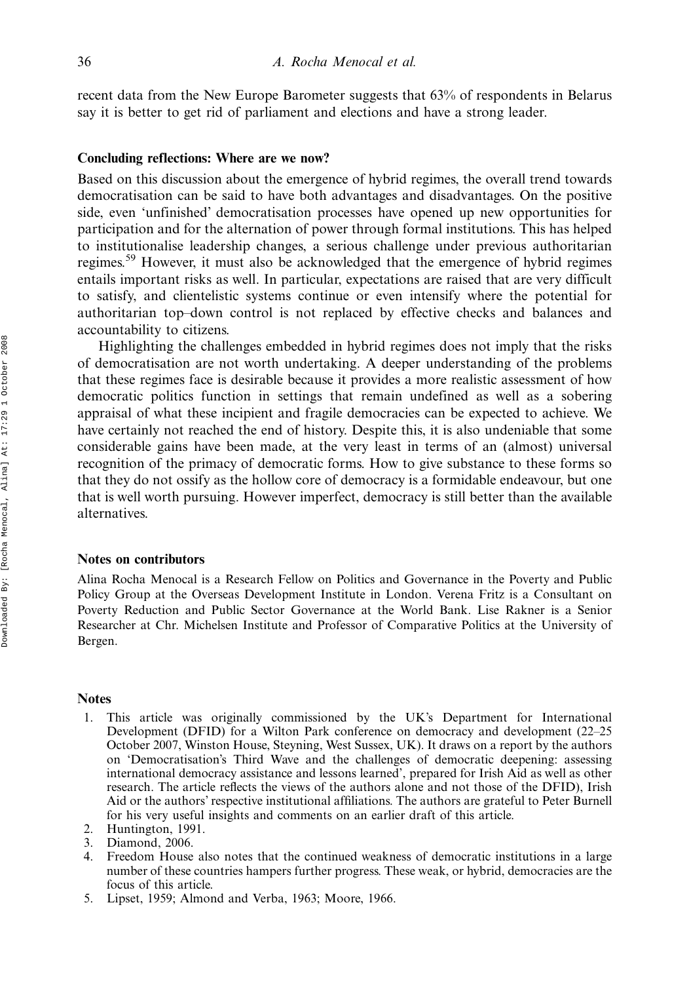recent data from the New Europe Barometer suggests that 63% of respondents in Belarus say it is better to get rid of parliament and elections and have a strong leader.

## Concluding reflections: Where are we now?

Based on this discussion about the emergence of hybrid regimes, the overall trend towards democratisation can be said to have both advantages and disadvantages. On the positive side, even 'unfinished' democratisation processes have opened up new opportunities for participation and for the alternation of power through formal institutions. This has helped to institutionalise leadership changes, a serious challenge under previous authoritarian regimes.<sup>59</sup> However, it must also be acknowledged that the emergence of hybrid regimes entails important risks as well. In particular, expectations are raised that are very difficult to satisfy, and clientelistic systems continue or even intensify where the potential for authoritarian top-down control is not replaced by effective checks and balances and accountability to citizens.

Highlighting the challenges embedded in hybrid regimes does not imply that the risks of democratisation are not worth undertaking. A deeper understanding of the problems that these regimes face is desirable because it provides a more realistic assessment of how democratic politics function in settings that remain undefined as well as a sobering appraisal of what these incipient and fragile democracies can be expected to achieve. We have certainly not reached the end of history. Despite this, it is also undeniable that some considerable gains have been made, at the very least in terms of an (almost) universal recognition of the primacy of democratic forms. How to give substance to these forms so that they do not ossify as the hollow core of democracy is a formidable endeavour, but one that is well worth pursuing. However imperfect, democracy is still better than the available alternatives.

#### Notes on contributors

Alina Rocha Menocal is a Research Fellow on Politics and Governance in the Poverty and Public Policy Group at the Overseas Development Institute in London. Verena Fritz is a Consultant on Poverty Reduction and Public Sector Governance at the World Bank. Lise Rakner is a Senior Researcher at Chr. Michelsen Institute and Professor of Comparative Politics at the University of Bergen.

## **Notes**

- 1. This article was originally commissioned by the UK's Department for International Development (DFID) for a Wilton Park conference on democracy and development (22–25 October 2007, Winston House, Steyning, West Sussex, UK). It draws on a report by the authors on 'Democratisation's Third Wave and the challenges of democratic deepening: assessing international democracy assistance and lessons learned', prepared for Irish Aid as well as other research. The article reflects the views of the authors alone and not those of the DFID), Irish Aid or the authors' respective institutional affiliations. The authors are grateful to Peter Burnell for his very useful insights and comments on an earlier draft of this article.
- 2. Huntington, 1991.
- 3. Diamond, 2006.
- 4. Freedom House also notes that the continued weakness of democratic institutions in a large number of these countries hampers further progress. These weak, or hybrid, democracies are the focus of this article.
- 5. Lipset, 1959; Almond and Verba, 1963; Moore, 1966.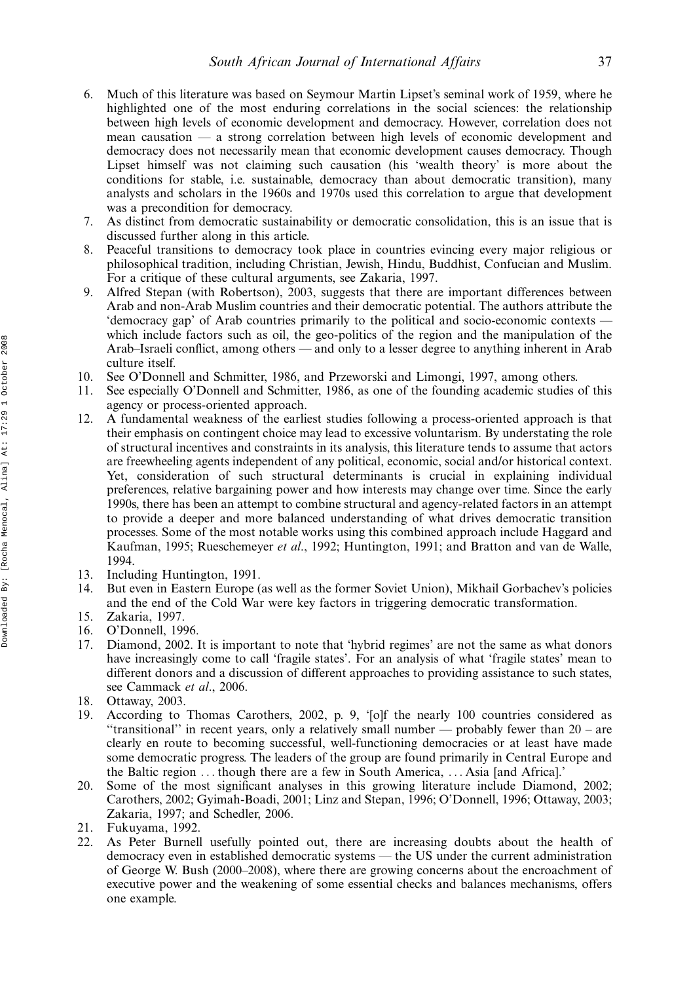- Much of this literature was based on Seymour Martin Lipset's seminal work of 1959, where he highlighted one of the most enduring correlations in the social sciences: the relationship between high levels of economic development and democracy. However, correlation does not mean causation  $-$  a strong correlation between high levels of economic development and democracy does not necessarily mean that economic development causes democracy. Though Lipset himself was not claiming such causation (his 'wealth theory' is more about the conditions for stable, i.e. sustainable, democracy than about democratic transition), many analysts and scholars in the 1960s and 1970s used this correlation to argue that development was a precondition for democracy.
- 7. As distinct from democratic sustainability or democratic consolidation, this is an issue that is discussed further along in this article.
- 8. Peaceful transitions to democracy took place in countries evincing every major religious or philosophical tradition, including Christian, Jewish, Hindu, Buddhist, Confucian and Muslim. For a critique of these cultural arguments, see Zakaria, 1997.
- 9. Alfred Stepan (with Robertson), 2003, suggests that there are important differences between Arab and non-Arab Muslim countries and their democratic potential. The authors attribute the 'democracy gap' of Arab countries primarily to the political and socio-economic contexts \* which include factors such as oil, the geo-politics of the region and the manipulation of the Arab-Israeli conflict, among others  $-$  and only to a lesser degree to anything inherent in Arab culture itself.
- 10. See O'Donnell and Schmitter, 1986, and Przeworski and Limongi, 1997, among others.
- 11. See especially O'Donnell and Schmitter, 1986, as one of the founding academic studies of this agency or process-oriented approach.
- 12. A fundamental weakness of the earliest studies following a process-oriented approach is that their emphasis on contingent choice may lead to excessive voluntarism. By understating the role of structural incentives and constraints in its analysis, this literature tends to assume that actors are freewheeling agents independent of any political, economic, social and/or historical context. Yet, consideration of such structural determinants is crucial in explaining individual preferences, relative bargaining power and how interests may change over time. Since the early 1990s, there has been an attempt to combine structural and agency-related factors in an attempt to provide a deeper and more balanced understanding of what drives democratic transition processes. Some of the most notable works using this combined approach include Haggard and Kaufman, 1995; Rueschemeyer et al., 1992; Huntington, 1991; and Bratton and van de Walle, 1994.
- 13. Including Huntington, 1991.
- 14. But even in Eastern Europe (as well as the former Soviet Union), Mikhail Gorbachev's policies and the end of the Cold War were key factors in triggering democratic transformation.
- 15. Zakaria, 1997.
- 16. O'Donnell, 1996.
- 17. Diamond, 2002. It is important to note that 'hybrid regimes' are not the same as what donors have increasingly come to call 'fragile states'. For an analysis of what 'fragile states' mean to different donors and a discussion of different approaches to providing assistance to such states, see Cammack et al., 2006.
- 18. Ottaway, 2003.
- 19. According to Thomas Carothers, 2002, p. 9, '[o]f the nearly 100 countries considered as "transitional" in recent years, only a relatively small number — probably fewer than  $20 -$  are clearly en route to becoming successful, well-functioning democracies or at least have made some democratic progress. The leaders of the group are found primarily in Central Europe and the Baltic region ... though there are a few in South America, ... Asia [and Africa].'
- 20. Some of the most significant analyses in this growing literature include Diamond, 2002; Carothers, 2002; Gyimah-Boadi, 2001; Linz and Stepan, 1996; O'Donnell, 1996; Ottaway, 2003; Zakaria, 1997; and Schedler, 2006.
- 21. Fukuyama, 1992.
- 22. As Peter Burnell usefully pointed out, there are increasing doubts about the health of democracy even in established democratic systems — the US under the current administration of George W. Bush (2000–2008), where there are growing concerns about the encroachment of executive power and the weakening of some essential checks and balances mechanisms, offers one example.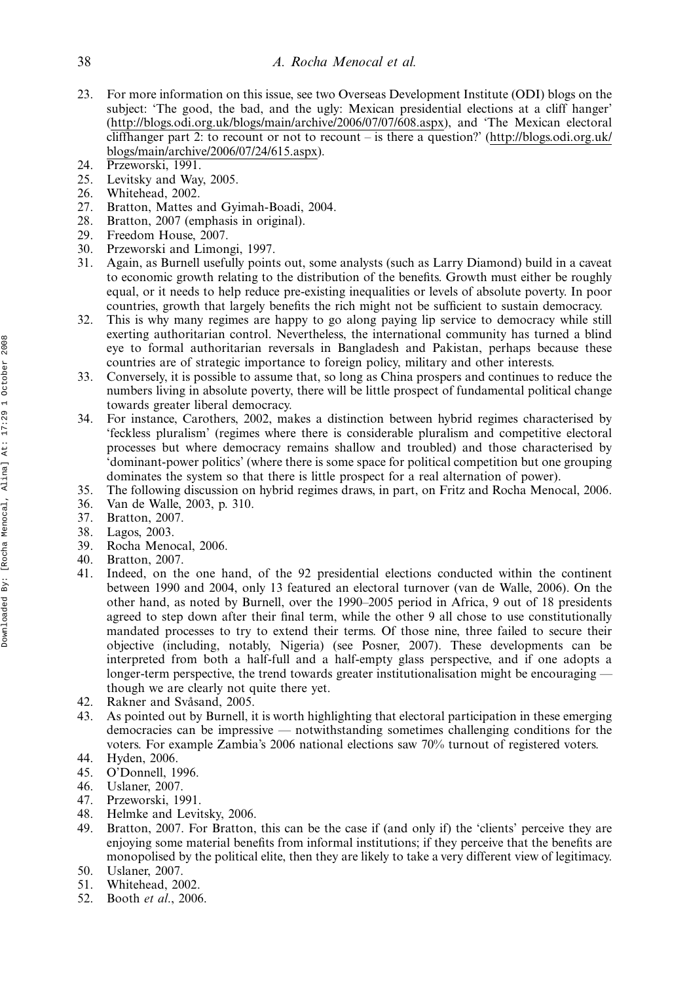- 23. For more information on this issue, see two Overseas Development Institute (ODI) blogs on the subject: 'The good, the bad, and the ugly: Mexican presidential elections at a cliff hanger' (http://blogs.odi.org.uk/blogs/main/archive/2006/07/07/608.aspx), and 'The Mexican electoral cliffhanger part 2: to recount or not to recount  $-$  is there a question?' (http://blogs.odi.org.uk/ blogs/main/archive/2006/07/24/615.aspx).
- 24. Przeworski, 1991.
- 25. Levitsky and Way, 2005.
- 26. Whitehead, 2002.
- 27. Bratton, Mattes and Gyimah-Boadi, 2004.<br>28. Bratton, 2007 (emphasis in original).
- Bratton, 2007 (emphasis in original).
- 29. Freedom House, 2007.
- 30. Przeworski and Limongi, 1997.
- 31. Again, as Burnell usefully points out, some analysts (such as Larry Diamond) build in a caveat to economic growth relating to the distribution of the benefits. Growth must either be roughly equal, or it needs to help reduce pre-existing inequalities or levels of absolute poverty. In poor countries, growth that largely benefits the rich might not be sufficient to sustain democracy.
- 32. This is why many regimes are happy to go along paying lip service to democracy while still exerting authoritarian control. Nevertheless, the international community has turned a blind eye to formal authoritarian reversals in Bangladesh and Pakistan, perhaps because these countries are of strategic importance to foreign policy, military and other interests.
- 33. Conversely, it is possible to assume that, so long as China prospers and continues to reduce the numbers living in absolute poverty, there will be little prospect of fundamental political change towards greater liberal democracy.
- 34. For instance, Carothers, 2002, makes a distinction between hybrid regimes characterised by 'feckless pluralism' (regimes where there is considerable pluralism and competitive electoral processes but where democracy remains shallow and troubled) and those characterised by 'dominant-power politics' (where there is some space for political competition but one grouping dominates the system so that there is little prospect for a real alternation of power).
- 35. The following discussion on hybrid regimes draws, in part, on Fritz and Rocha Menocal, 2006.
- 36. Van de Walle, 2003, p. 310.
- 37. Bratton, 2007.
- 38. Lagos, 2003.
- Rocha Menocal, 2006.
- 40. Bratton, 2007.
- 41. Indeed, on the one hand, of the 92 presidential elections conducted within the continent between 1990 and 2004, only 13 featured an electoral turnover (van de Walle, 2006). On the other hand, as noted by Burnell, over the 1990–2005 period in Africa, 9 out of 18 presidents agreed to step down after their final term, while the other 9 all chose to use constitutionally mandated processes to try to extend their terms. Of those nine, three failed to secure their objective (including, notably, Nigeria) (see Posner, 2007). These developments can be interpreted from both a half-full and a half-empty glass perspective, and if one adopts a longer-term perspective, the trend towards greater institutionalisation might be encouraging though we are clearly not quite there yet.
- 42. Rakner and Svåsand, 2005.
- 43. As pointed out by Burnell, it is worth highlighting that electoral participation in these emerging democracies can be impressive — notwithstanding sometimes challenging conditions for the voters. For example Zambia's 2006 national elections saw 70% turnout of registered voters.
- 44. Hyden, 2006.
- 45. O'Donnell, 1996.
- 46. Uslaner, 2007.<br>47. Przeworski, 19
- Przeworski, 1991.
- 48. Helmke and Levitsky, 2006.
- 49. Bratton, 2007. For Bratton, this can be the case if (and only if) the 'clients' perceive they are enjoying some material benefits from informal institutions; if they perceive that the benefits are monopolised by the political elite, then they are likely to take a very different view of legitimacy.
- 50. Uslaner, 2007.
- 51. Whitehead, 2002.
- 52. Booth et al., 2006.

2008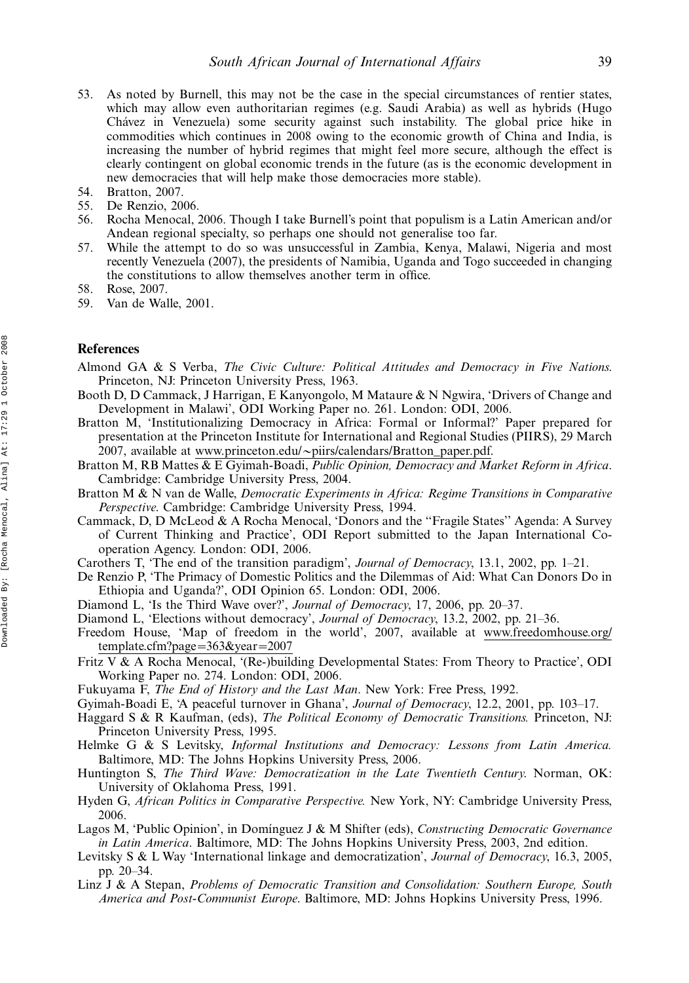- 53. As noted by Burnell, this may not be the case in the special circumstances of rentier states, which may allow even authoritarian regimes (e.g. Saudi Arabia) as well as hybrids (Hugo Cha´vez in Venezuela) some security against such instability. The global price hike in commodities which continues in 2008 owing to the economic growth of China and India, is increasing the number of hybrid regimes that might feel more secure, although the effect is clearly contingent on global economic trends in the future (as is the economic development in new democracies that will help make those democracies more stable).
- 54. Bratton, 2007.
- 55. De Renzio, 2006.
- 56. Rocha Menocal, 2006. Though I take Burnell's point that populism is a Latin American and/or Andean regional specialty, so perhaps one should not generalise too far.
- 57. While the attempt to do so was unsuccessful in Zambia, Kenya, Malawi, Nigeria and most recently Venezuela (2007), the presidents of Namibia, Uganda and Togo succeeded in changing the constitutions to allow themselves another term in office.
- 58. Rose, 2007.
- 59. Van de Walle, 2001.

## **References**

- Almond GA & S Verba, The Civic Culture: Political Attitudes and Democracy in Five Nations. Princeton, NJ: Princeton University Press, 1963.
- Booth D, D Cammack, J Harrigan, E Kanyongolo, M Mataure & N Ngwira, 'Drivers of Change and Development in Malawi', ODI Working Paper no. 261. London: ODI, 2006.
- Bratton M, 'Institutionalizing Democracy in Africa: Formal or Informal?' Paper prepared for presentation at the Princeton Institute for International and Regional Studies (PIIRS), 29 March 2007, available at www.princeton.edu/~piirs/calendars/Bratton\_paper.pdf.
- Bratton M, RB Mattes & E Gyimah-Boadi, Public Opinion, Democracy and Market Reform in Africa. Cambridge: Cambridge University Press, 2004.
- Bratton M & N van de Walle, Democratic Experiments in Africa: Regime Transitions in Comparative Perspective. Cambridge: Cambridge University Press, 1994.
- Cammack, D, D McLeod & A Rocha Menocal, 'Donors and the ''Fragile States'' Agenda: A Survey of Current Thinking and Practice', ODI Report submitted to the Japan International Cooperation Agency. London: ODI, 2006.
- Carothers T, 'The end of the transition paradigm', Journal of Democracy, 13.1, 2002, pp. 1–21.
- De Renzio P, 'The Primacy of Domestic Politics and the Dilemmas of Aid: What Can Donors Do in Ethiopia and Uganda?', ODI Opinion 65. London: ODI, 2006.
- Diamond L, 'Is the Third Wave over?', Journal of Democracy, 17, 2006, pp. 20-37.
- Diamond L, 'Elections without democracy', Journal of Democracy, 13.2, 2002, pp. 21–36.
- Freedom House, 'Map of freedom in the world', 2007, available at www.freedomhouse.org/ template.cfm?page=363&year=2007
- Fritz V & A Rocha Menocal, '(Re-)building Developmental States: From Theory to Practice', ODI Working Paper no. 274. London: ODI, 2006.
- Fukuyama F, The End of History and the Last Man. New York: Free Press, 1992.
- Gyimah-Boadi E, 'A peaceful turnover in Ghana', Journal of Democracy, 12.2, 2001, pp. 103–17.
- Haggard S & R Kaufman, (eds), The Political Economy of Democratic Transitions. Princeton, NJ: Princeton University Press, 1995.
- Helmke G & S Levitsky, Informal Institutions and Democracy: Lessons from Latin America. Baltimore, MD: The Johns Hopkins University Press, 2006.
- Huntington S, The Third Wave: Democratization in the Late Twentieth Century. Norman, OK: University of Oklahoma Press, 1991.
- Hyden G, African Politics in Comparative Perspective. New York, NY: Cambridge University Press, 2006.
- Lagos M, 'Public Opinion', in Domínguez J & M Shifter (eds), Constructing Democratic Governance in Latin America. Baltimore, MD: The Johns Hopkins University Press, 2003, 2nd edition.
- Levitsky S & L Way 'International linkage and democratization', Journal of Democracy, 16.3, 2005, pp. 20-34.
- Linz J & A Stepan, Problems of Democratic Transition and Consolidation: Southern Europe, South America and Post-Communist Europe. Baltimore, MD: Johns Hopkins University Press, 1996.